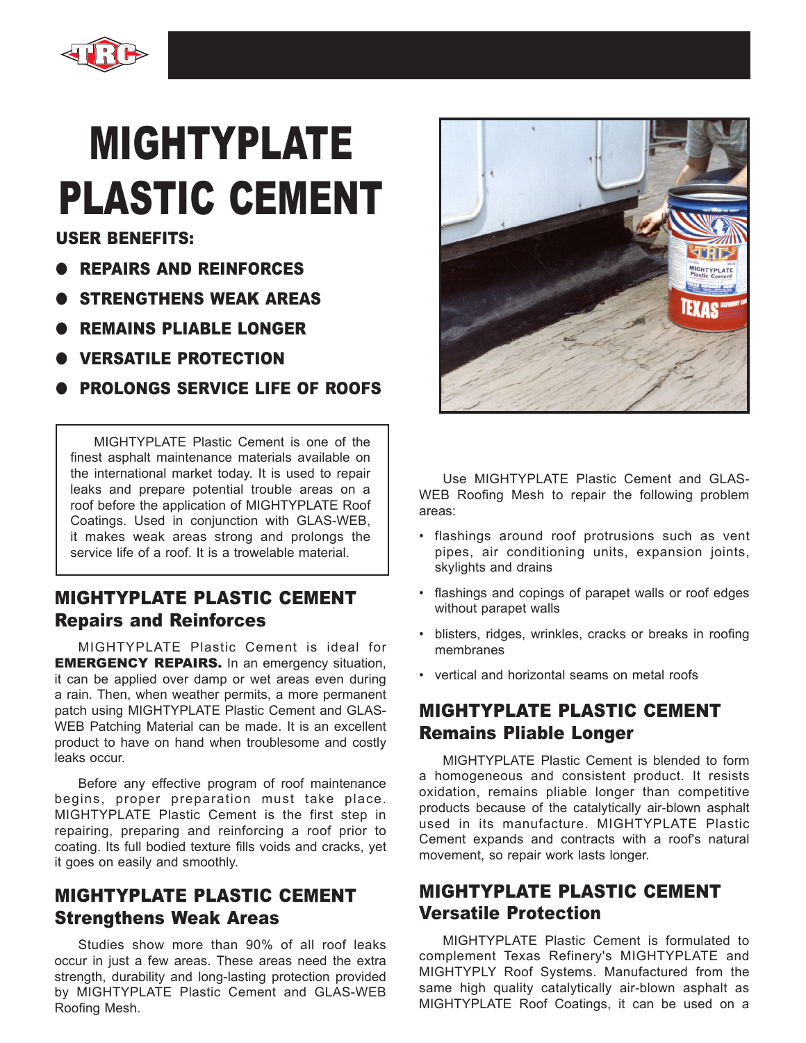

# MIGHTYPLATE PLASTIC CEMENT

USER BENEFITS:

- REPAIRS AND REINFORCES
- STRENGTHENS WEAK AREAS
- REMAINS PLIABLE LONGER
- VERSATILE PROTECTION
- **PROLONGS SERVICE LIFE OF ROOFS**

MIGHTYPLATE Plastic Cement is one of the finest asphalt maintenance materials available on the international market today. It is used to repair leaks and prepare potential trouble areas on a roof before the application of MIGHTYPLATE Roof Coatings. Used in conjunction with GLAS-WEB, it makes weak areas strong and prolongs the service life of a roof. It is a trowelable material.

# MIGHTYPLATE PLASTIC CEMENT Repairs and Reinforces

MIGHTYPLATE Plastic Cement is ideal for **EMERGENCY REPAIRS.** In an emergency situation, it can be applied over damp or wet areas even during a rain. Then, when weather permits, a more permanent patch using MIGHTYPLATE Plastic Cement and GLAS-WEB Patching Material can be made. It is an excellent product to have on hand when troublesome and costly leaks occur.

Before any effective program of roof maintenance begins, proper preparation must take place. MIGHTYPLATE Plastic Cement is the first step in repairing, preparing and reinforcing a roof prior to coating. Its full bodied texture fills voids and cracks, yet it goes on easily and smoothly.

# MIGHTYPLATE PLASTIC CEMENT Strengthens Weak Areas

Studies show more than 90% of all roof leaks occur in just a few areas. These areas need the extra strength, durability and long-lasting protection provided by MIGHTYPLATE Plastic Cement and GLAS-WEB Roofing Mesh.



Use MIGHTYPLATE Plastic Cement and GLAS-WEB Roofing Mesh to repair the following problem areas:

- flashings around roof protrusions such as vent pipes, air conditioning units, expansion joints, skylights and drains
- flashings and copings of parapet walls or roof edges without parapet walls
- blisters, ridges, wrinkles, cracks or breaks in roofing membranes
- vertical and horizontal seams on metal roofs

# MIGHTYPLATE PLASTIC CEMENT Remains Pliable Longer

MIGHTYPLATE Plastic Cement is blended to form a homogeneous and consistent product. It resists oxidation, remains pliable longer than competitive products because of the catalytically air-blown asphalt used in its manufacture. MIGHTYPLATE Plastic Cement expands and contracts with a roof's natural movement, so repair work lasts longer.

## MIGHTYPLATE PLASTIC CEMENT Versatile Protection

MIGHTYPLATE Plastic Cement is formulated to complement Texas Refinery's MIGHTYPLATE and MIGHTYPLY Roof Systems. Manufactured from the same high quality catalytically air-blown asphalt as MIGHTYPLATE Roof Coatings, it can be used on a